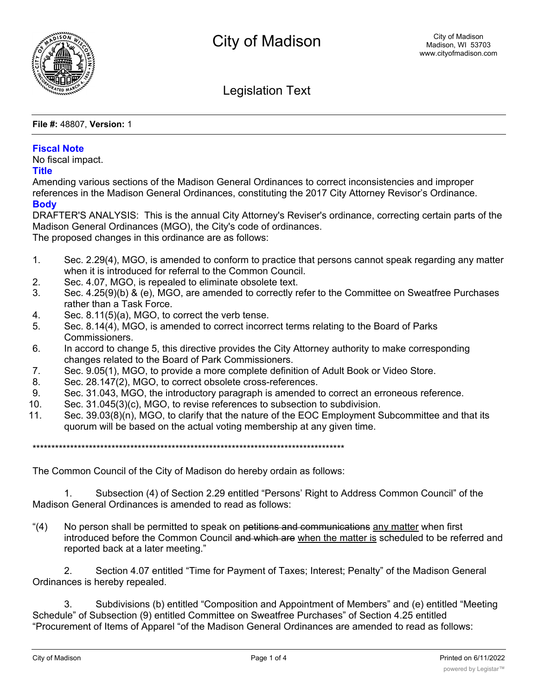

Legislation Text

**File #:** 48807, **Version:** 1

### **Fiscal Note**

No fiscal impact.

#### **Title**

Amending various sections of the Madison General Ordinances to correct inconsistencies and improper references in the Madison General Ordinances, constituting the 2017 City Attorney Revisor's Ordinance. **Body**

DRAFTER'S ANALYSIS: This is the annual City Attorney's Reviser's ordinance, correcting certain parts of the Madison General Ordinances (MGO), the City's code of ordinances. The proposed changes in this ordinance are as follows:

- 1. Sec. 2.29(4), MGO, is amended to conform to practice that persons cannot speak regarding any matter when it is introduced for referral to the Common Council.
- 2. Sec. 4.07, MGO, is repealed to eliminate obsolete text.
- 3. Sec. 4.25(9)(b) & (e), MGO, are amended to correctly refer to the Committee on Sweatfree Purchases rather than a Task Force.
- 4. Sec. 8.11(5)(a), MGO, to correct the verb tense.
- 5. Sec. 8.14(4), MGO, is amended to correct incorrect terms relating to the Board of Parks Commissioners.
- 6. In accord to change 5, this directive provides the City Attorney authority to make corresponding changes related to the Board of Park Commissioners.
- 7. Sec. 9.05(1), MGO, to provide a more complete definition of Adult Book or Video Store.
- 8. Sec. 28.147(2), MGO, to correct obsolete cross-references.
- 9. Sec. 31.043, MGO, the introductory paragraph is amended to correct an erroneous reference.
- 10. Sec. 31.045(3)(c), MGO, to revise references to subsection to subdivision.
- 11. Sec. 39.03(8)(n), MGO, to clarify that the nature of the EOC Employment Subcommittee and that its quorum will be based on the actual voting membership at any given time.

\*\*\*\*\*\*\*\*\*\*\*\*\*\*\*\*\*\*\*\*\*\*\*\*\*\*\*\*\*\*\*\*\*\*\*\*\*\*\*\*\*\*\*\*\*\*\*\*\*\*\*\*\*\*\*\*\*\*\*\*\*\*\*\*\*\*\*\*\*\*\*\*\*\*\*\*\*\*\*\*\*\*\*

The Common Council of the City of Madison do hereby ordain as follows:

1. Subsection (4) of Section 2.29 entitled "Persons' Right to Address Common Council" of the Madison General Ordinances is amended to read as follows:

"(4) No person shall be permitted to speak on petitions and communications any matter when first introduced before the Common Council and which are when the matter is scheduled to be referred and reported back at a later meeting."

2. Section 4.07 entitled "Time for Payment of Taxes; Interest; Penalty" of the Madison General Ordinances is hereby repealed.

3. Subdivisions (b) entitled "Composition and Appointment of Members" and (e) entitled "Meeting Schedule" of Subsection (9) entitled Committee on Sweatfree Purchases" of Section 4.25 entitled "Procurement of Items of Apparel "of the Madison General Ordinances are amended to read as follows: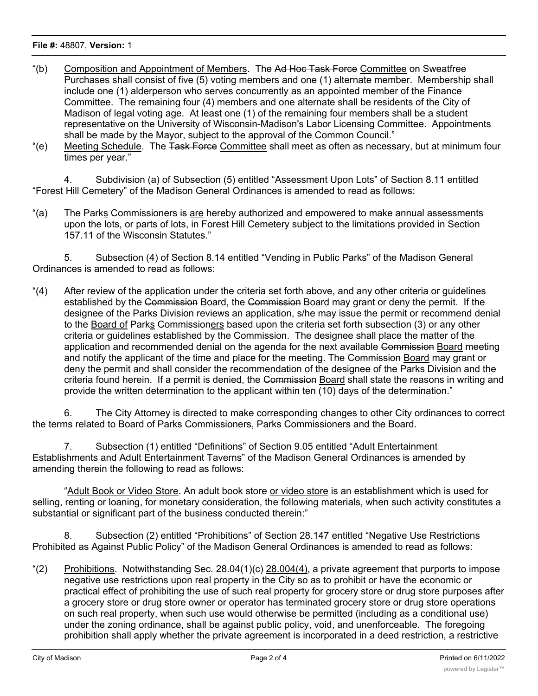#### **File #:** 48807, **Version:** 1

- "(b) Composition and Appointment of Members. The Ad Hoc Task Force Committee on Sweatfree Purchases shall consist of five (5) voting members and one (1) alternate member. Membership shall include one (1) alderperson who serves concurrently as an appointed member of the Finance Committee. The remaining four (4) members and one alternate shall be residents of the City of Madison of legal voting age. At least one (1) of the remaining four members shall be a student representative on the University of Wisconsin-Madison's Labor Licensing Committee. Appointments shall be made by the Mayor, subject to the approval of the Common Council."
- "(e) Meeting Schedule. The Task Force Committee shall meet as often as necessary, but at minimum four times per year."

4. Subdivision (a) of Subsection (5) entitled "Assessment Upon Lots" of Section 8.11 entitled "Forest Hill Cemetery" of the Madison General Ordinances is amended to read as follows:

"(a) The Parks Commissioners is are hereby authorized and empowered to make annual assessments upon the lots, or parts of lots, in Forest Hill Cemetery subject to the limitations provided in Section 157.11 of the Wisconsin Statutes."

5. Subsection (4) of Section 8.14 entitled "Vending in Public Parks" of the Madison General Ordinances is amended to read as follows:

"(4) After review of the application under the criteria set forth above, and any other criteria or guidelines established by the Commission Board, the Commission Board may grant or deny the permit. If the designee of the Parks Division reviews an application, s/he may issue the permit or recommend denial to the Board of Parks Commissioners based upon the criteria set forth subsection (3) or any other criteria or guidelines established by the Commission. The designee shall place the matter of the application and recommended denial on the agenda for the next available Commission Board meeting and notify the applicant of the time and place for the meeting. The Commission Board may grant or deny the permit and shall consider the recommendation of the designee of the Parks Division and the criteria found herein. If a permit is denied, the Commission Board shall state the reasons in writing and provide the written determination to the applicant within ten (10) days of the determination."

6. The City Attorney is directed to make corresponding changes to other City ordinances to correct the terms related to Board of Parks Commissioners, Parks Commissioners and the Board.

7. Subsection (1) entitled "Definitions" of Section 9.05 entitled "Adult Entertainment Establishments and Adult Entertainment Taverns" of the Madison General Ordinances is amended by amending therein the following to read as follows:

"Adult Book or Video Store. An adult book store or video store is an establishment which is used for selling, renting or loaning, for monetary consideration, the following materials, when such activity constitutes a substantial or significant part of the business conducted therein:"

8. Subsection (2) entitled "Prohibitions" of Section 28.147 entitled "Negative Use Restrictions Prohibited as Against Public Policy" of the Madison General Ordinances is amended to read as follows:

"(2) Prohibitions. Notwithstanding Sec.  $28.04(1)(c)$  28.004(4), a private agreement that purports to impose negative use restrictions upon real property in the City so as to prohibit or have the economic or practical effect of prohibiting the use of such real property for grocery store or drug store purposes after a grocery store or drug store owner or operator has terminated grocery store or drug store operations on such real property, when such use would otherwise be permitted (including as a conditional use) under the zoning ordinance, shall be against public policy, void, and unenforceable. The foregoing prohibition shall apply whether the private agreement is incorporated in a deed restriction, a restrictive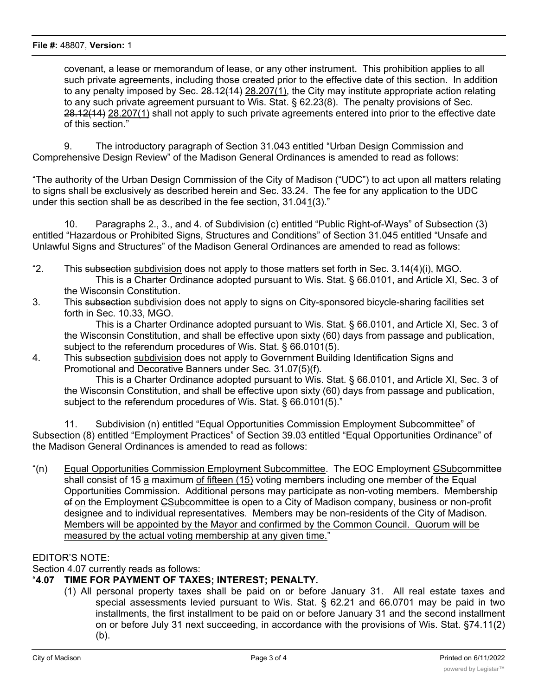covenant, a lease or memorandum of lease, or any other instrument. This prohibition applies to all such private agreements, including those created prior to the effective date of this section. In addition to any penalty imposed by Sec. 28.12(14) 28.207(1), the City may institute appropriate action relating to any such private agreement pursuant to Wis. Stat. § 62.23(8). The penalty provisions of Sec. 28.12(14) 28.207(1) shall not apply to such private agreements entered into prior to the effective date of this section."

9. The introductory paragraph of Section 31.043 entitled "Urban Design Commission and Comprehensive Design Review" of the Madison General Ordinances is amended to read as follows:

"The authority of the Urban Design Commission of the City of Madison ("UDC") to act upon all matters relating to signs shall be exclusively as described herein and Sec. 33.24. The fee for any application to the UDC under this section shall be as described in the fee section, 31.041(3)."

10. Paragraphs 2., 3., and 4. of Subdivision (c) entitled "Public Right-of-Ways" of Subsection (3) entitled "Hazardous or Prohibited Signs, Structures and Conditions" of Section 31.045 entitled "Unsafe and Unlawful Signs and Structures" of the Madison General Ordinances are amended to read as follows:

- "2. This subsection subdivision does not apply to those matters set forth in Sec. 3.14(4)(i), MGO. This is a Charter Ordinance adopted pursuant to Wis. Stat. § 66.0101, and Article XI, Sec. 3 of the Wisconsin Constitution.
- 3. This subsection subdivision does not apply to signs on City-sponsored bicycle-sharing facilities set forth in Sec. 10.33, MGO.

This is a Charter Ordinance adopted pursuant to Wis. Stat. § 66.0101, and Article XI, Sec. 3 of the Wisconsin Constitution, and shall be effective upon sixty (60) days from passage and publication, subject to the referendum procedures of Wis. Stat. § 66.0101(5).

4. This subsection subdivision does not apply to Government Building Identification Signs and Promotional and Decorative Banners under Sec. 31.07(5)(f).

This is a Charter Ordinance adopted pursuant to Wis. Stat. § 66.0101, and Article XI, Sec. 3 of the Wisconsin Constitution, and shall be effective upon sixty (60) days from passage and publication, subject to the referendum procedures of Wis. Stat. § 66.0101(5)."

11. Subdivision (n) entitled "Equal Opportunities Commission Employment Subcommittee" of Subsection (8) entitled "Employment Practices" of Section 39.03 entitled "Equal Opportunities Ordinance" of the Madison General Ordinances is amended to read as follows:

"(n) Equal Opportunities Commission Employment Subcommittee. The EOC Employment CSubcommittee shall consist of 15 a maximum of fifteen (15) voting members including one member of the Equal Opportunities Commission. Additional persons may participate as non-voting members. Membership of on the Employment **CSubcommittee is open to a City of Madison company**, business or non-profit designee and to individual representatives. Members may be non-residents of the City of Madison. Members will be appointed by the Mayor and confirmed by the Common Council. Quorum will be measured by the actual voting membership at any given time."

## EDITOR'S NOTE:

Section 4.07 currently reads as follows:

# "**4.07 TIME FOR PAYMENT OF TAXES; INTEREST; PENALTY.**

(1) All personal property taxes shall be paid on or before January 31. All real estate taxes and special assessments levied pursuant to Wis. Stat. § 62.21 and 66.0701 may be paid in two installments, the first installment to be paid on or before January 31 and the second installment on or before July 31 next succeeding, in accordance with the provisions of Wis. Stat. §74.11(2) (b).

 $(2)$  Overdue or delinquent real estate taxes, personal property taxes, personal properties and special assessments are  $\alpha$